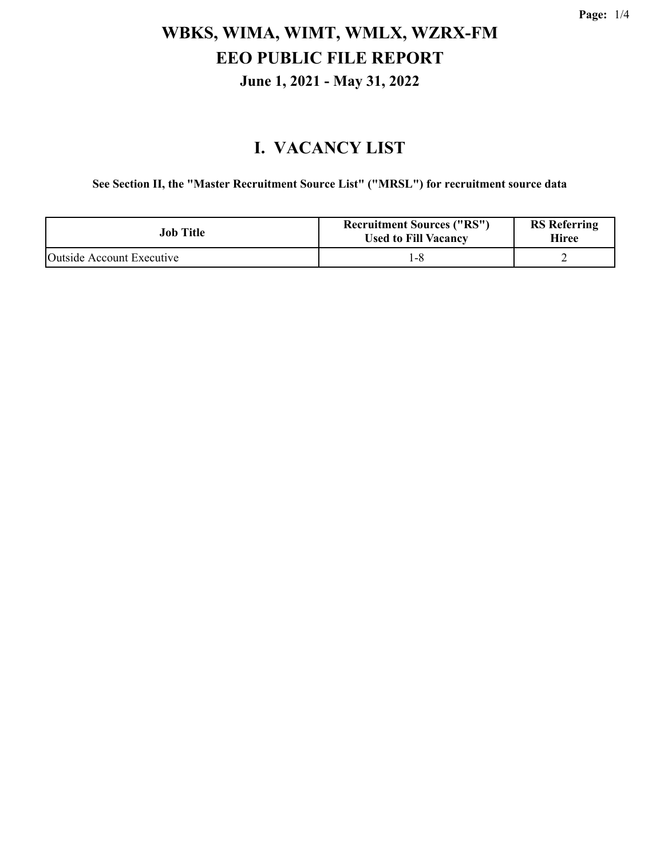#### **I. VACANCY LIST**

**See Section II, the "Master Recruitment Source List" ("MRSL") for recruitment source data**

| Job Title                 | <b>Recruitment Sources ("RS")</b><br><b>Used to Fill Vacancy</b> | <b>RS</b> Referring<br>Hiree |
|---------------------------|------------------------------------------------------------------|------------------------------|
| Outside Account Executive |                                                                  |                              |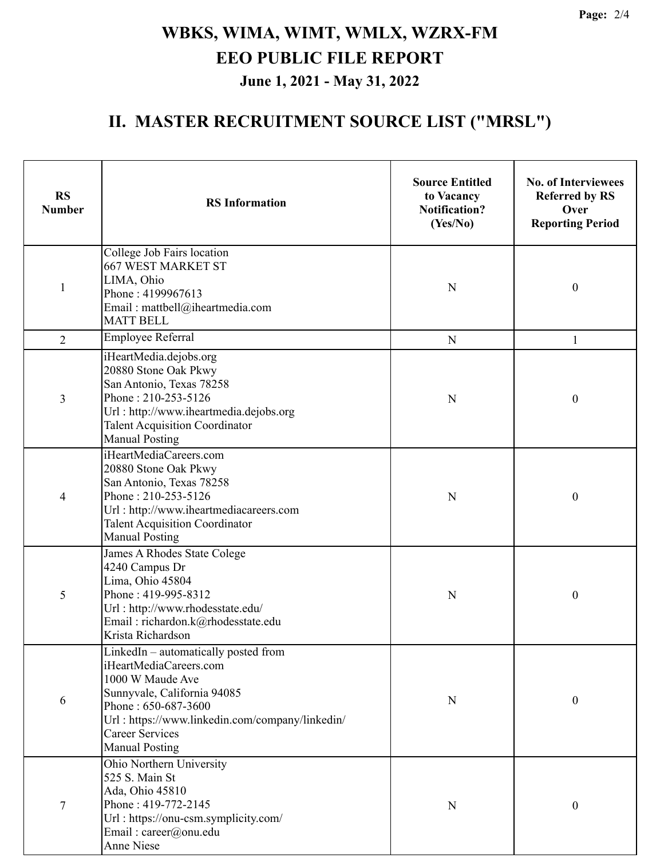#### **II. MASTER RECRUITMENT SOURCE LIST ("MRSL")**

| <b>RS</b><br><b>Number</b> | <b>RS</b> Information                                                                                                                                                                                                                          | <b>Source Entitled</b><br>to Vacancy<br><b>Notification?</b><br>(Yes/No) | <b>No. of Interviewees</b><br><b>Referred by RS</b><br>Over<br><b>Reporting Period</b> |
|----------------------------|------------------------------------------------------------------------------------------------------------------------------------------------------------------------------------------------------------------------------------------------|--------------------------------------------------------------------------|----------------------------------------------------------------------------------------|
| $\mathbf{1}$               | College Job Fairs location<br><b>667 WEST MARKET ST</b><br>LIMA, Ohio<br>Phone: 4199967613<br>Email: mattbell@iheartmedia.com<br><b>MATT BELL</b>                                                                                              | N                                                                        | $\boldsymbol{0}$                                                                       |
| $\overline{2}$             | Employee Referral                                                                                                                                                                                                                              | N                                                                        | $\mathbf{1}$                                                                           |
| 3                          | iHeartMedia.dejobs.org<br>20880 Stone Oak Pkwy<br>San Antonio, Texas 78258<br>Phone: 210-253-5126<br>Url: http://www.iheartmedia.dejobs.org<br><b>Talent Acquisition Coordinator</b><br><b>Manual Posting</b>                                  | N                                                                        | $\boldsymbol{0}$                                                                       |
| 4                          | iHeartMediaCareers.com<br>20880 Stone Oak Pkwy<br>San Antonio, Texas 78258<br>Phone: 210-253-5126<br>Url: http://www.iheartmediacareers.com<br><b>Talent Acquisition Coordinator</b><br><b>Manual Posting</b>                                  | N                                                                        | $\boldsymbol{0}$                                                                       |
| 5                          | James A Rhodes State Colege<br>4240 Campus Dr<br>Lima, Ohio 45804<br>Phone: 419-995-8312<br>Url: http://www.rhodesstate.edu/<br>Email: richardon.k@rhodesstate.edu<br>Krista Richardson                                                        | N                                                                        | $\boldsymbol{0}$                                                                       |
| 6                          | LinkedIn – automatically posted from<br>iHeartMediaCareers.com<br>1000 W Maude Ave<br>Sunnyvale, California 94085<br>Phone: 650-687-3600<br>Url: https://www.linkedin.com/company/linkedin/<br><b>Career Services</b><br><b>Manual Posting</b> | N                                                                        | $\boldsymbol{0}$                                                                       |
| 7                          | Ohio Northern University<br>525 S. Main St<br>Ada, Ohio 45810<br>Phone: 419-772-2145<br>Url: https://onu-csm.symplicity.com/<br>Email: career@onu.edu<br>Anne Niese                                                                            | N                                                                        | $\boldsymbol{0}$                                                                       |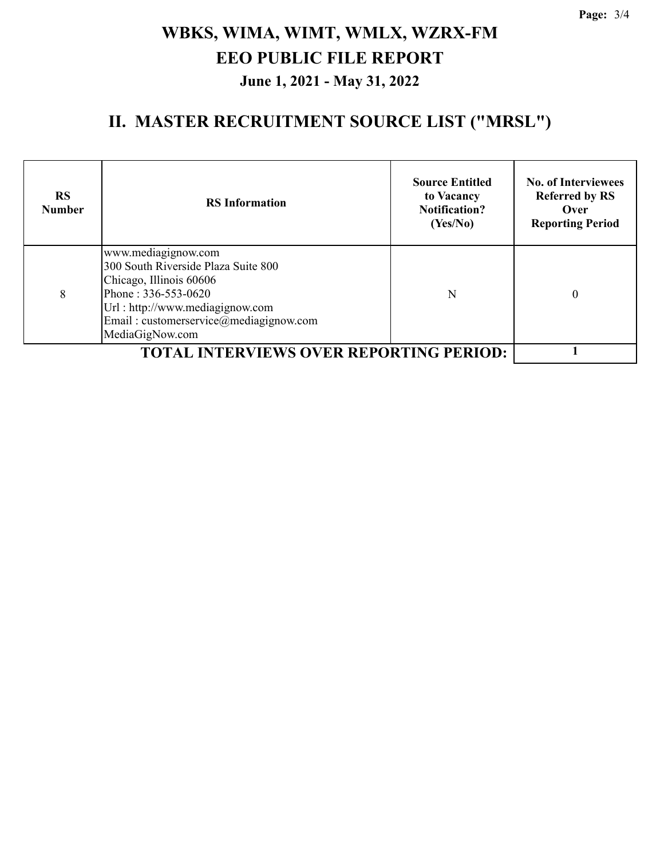#### **II. MASTER RECRUITMENT SOURCE LIST ("MRSL")**

| <b>RS</b><br><b>Number</b> | <b>RS</b> Information                                                                                                                                                                                        | <b>Source Entitled</b><br>to Vacancy<br><b>Notification?</b><br>(Yes/No) | <b>No. of Interviewees</b><br><b>Referred by RS</b><br>Over<br><b>Reporting Period</b> |
|----------------------------|--------------------------------------------------------------------------------------------------------------------------------------------------------------------------------------------------------------|--------------------------------------------------------------------------|----------------------------------------------------------------------------------------|
| 8                          | www.mediagignow.com<br>300 South Riverside Plaza Suite 800<br>Chicago, Illinois 60606<br>Phone: 336-553-0620<br>Url: http://www.mediagignow.com<br>Email: customerservice@mediagignow.com<br>MediaGigNow.com | N                                                                        | 0                                                                                      |
|                            |                                                                                                                                                                                                              |                                                                          |                                                                                        |